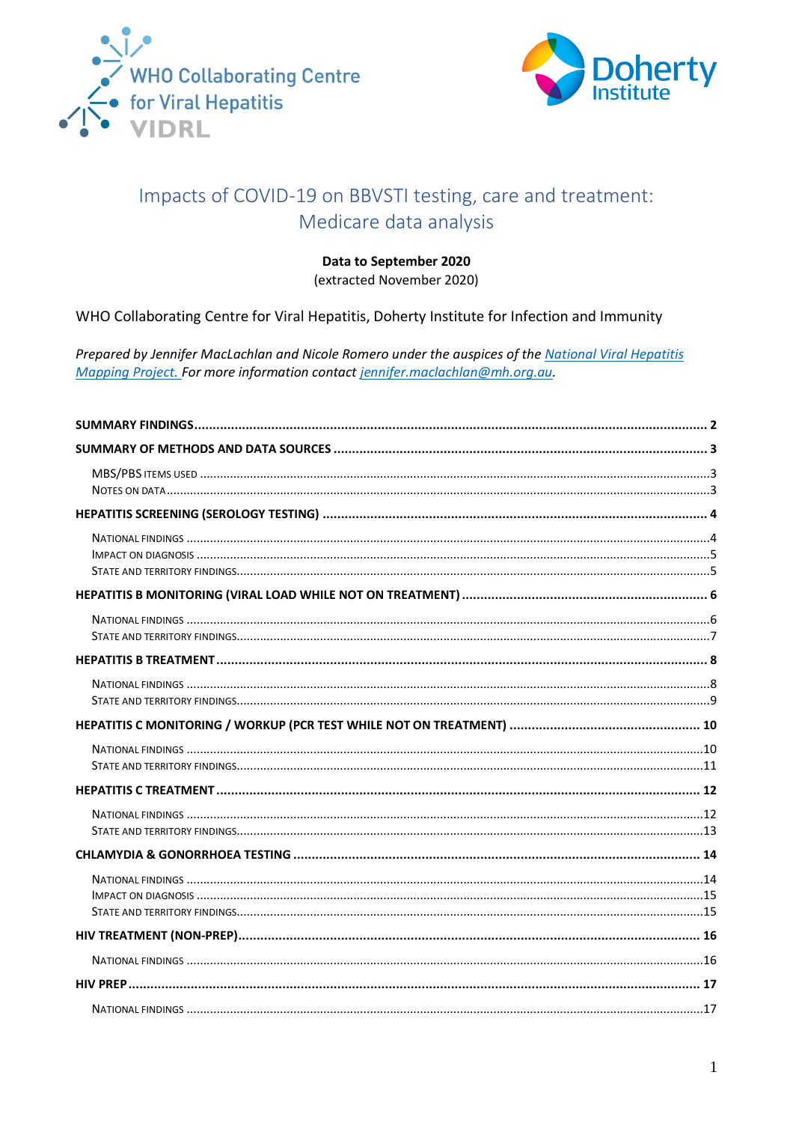



# Impacts of COVID-19 on BBVSTI testing, care and treatment: Medicare data analysis

#### Data to September 2020

(extracted November 2020)

WHO Collaborating Centre for Viral Hepatitis, Doherty Institute for Infection and Immunity

Prepared by Jennifer MacLachlan and Nicole Romero under the auspices of the National Viral Hepatitis Mapping Project. For more information contact jennifer.maclachlan@mh.org.au.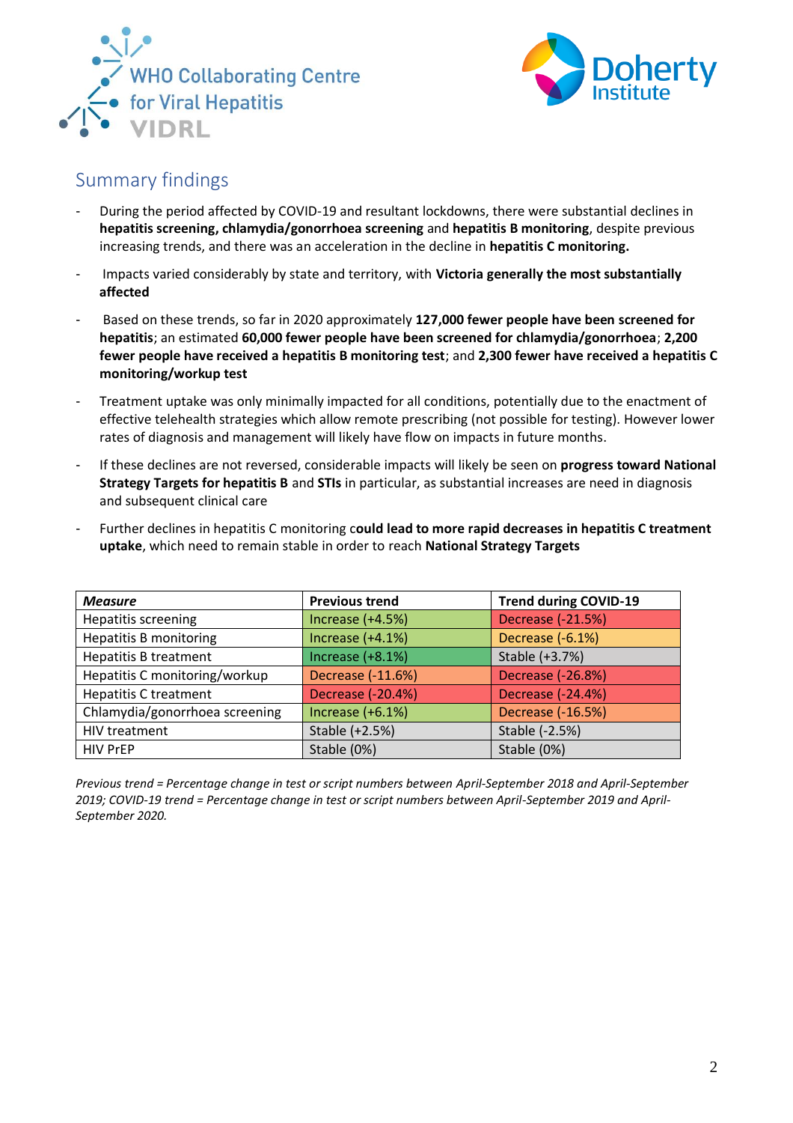



## <span id="page-1-0"></span>Summary findings

- During the period affected by COVID-19 and resultant lockdowns, there were substantial declines in **hepatitis screening, chlamydia/gonorrhoea screening** and **hepatitis B monitoring**, despite previous increasing trends, and there was an acceleration in the decline in **hepatitis C monitoring.**
- Impacts varied considerably by state and territory, with **Victoria generally the most substantially affected**
- Based on these trends, so far in 2020 approximately **127,000 fewer people have been screened for hepatitis**; an estimated **60,000 fewer people have been screened for chlamydia/gonorrhoea**; **2,200 fewer people have received a hepatitis B monitoring test**; and **2,300 fewer have received a hepatitis C monitoring/workup test**
- Treatment uptake was only minimally impacted for all conditions, potentially due to the enactment of effective telehealth strategies which allow remote prescribing (not possible for testing). However lower rates of diagnosis and management will likely have flow on impacts in future months.
- If these declines are not reversed, considerable impacts will likely be seen on **progress toward National Strategy Targets for hepatitis B** and **STIs** in particular, as substantial increases are need in diagnosis and subsequent clinical care
- Further declines in hepatitis C monitoring c**ould lead to more rapid decreases in hepatitis C treatment uptake**, which need to remain stable in order to reach **National Strategy Targets**

| <b>Measure</b>                 | <b>Previous trend</b> | <b>Trend during COVID-19</b> |
|--------------------------------|-----------------------|------------------------------|
| <b>Hepatitis screening</b>     | Increase (+4.5%)      | Decrease (-21.5%)            |
| <b>Hepatitis B monitoring</b>  | Increase $(+4.1%)$    | Decrease (-6.1%)             |
| <b>Hepatitis B treatment</b>   | Increase $(+8.1%)$    | Stable (+3.7%)               |
| Hepatitis C monitoring/workup  | Decrease (-11.6%)     | Decrease (-26.8%)            |
| <b>Hepatitis C treatment</b>   | Decrease (-20.4%)     | Decrease (-24.4%)            |
| Chlamydia/gonorrhoea screening | Increase $(+6.1%)$    | Decrease (-16.5%)            |
| HIV treatment                  | Stable (+2.5%)        | Stable (-2.5%)               |
| <b>HIV PrEP</b>                | Stable (0%)           | Stable (0%)                  |

*Previous trend = Percentage change in test or script numbers between April-September 2018 and April-September 2019; COVID-19 trend = Percentage change in test or script numbers between April-September 2019 and April-September 2020.*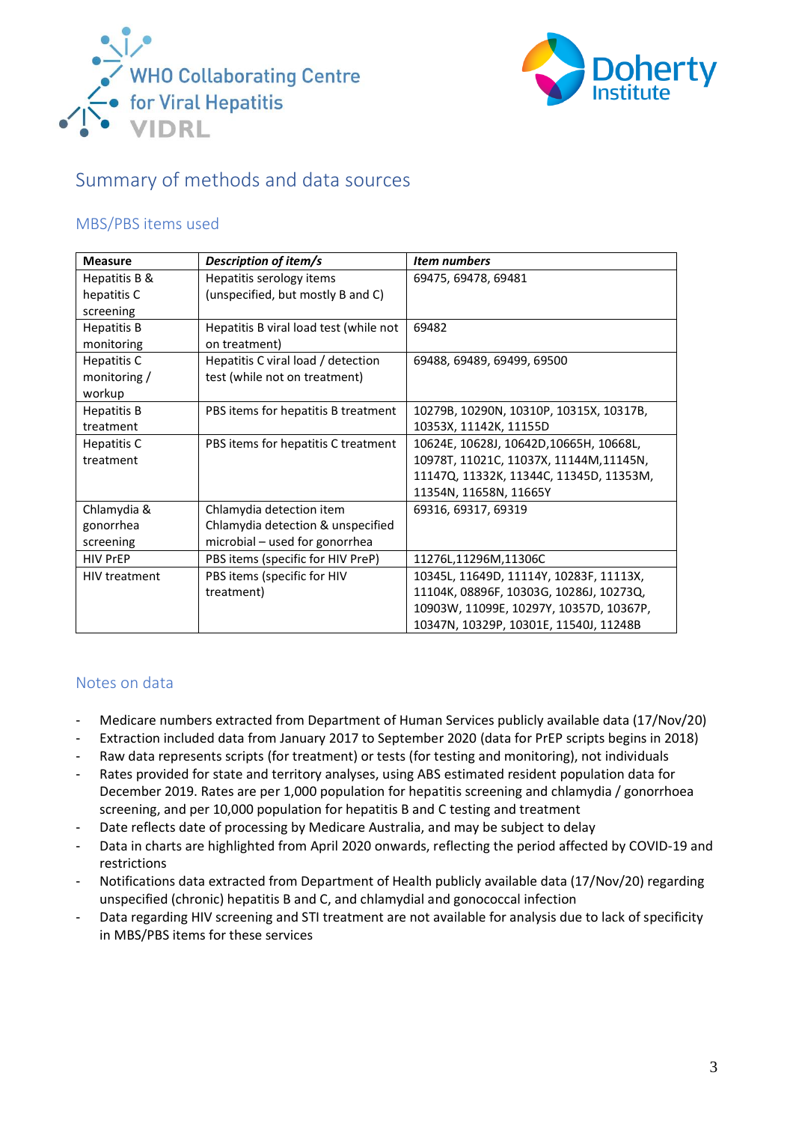



## <span id="page-2-0"></span>Summary of methods and data sources

#### <span id="page-2-1"></span>MBS/PBS items used

| <b>Measure</b>       | Description of item/s                  | <b>Item numbers</b>                     |
|----------------------|----------------------------------------|-----------------------------------------|
| Hepatitis B &        | Hepatitis serology items               | 69475, 69478, 69481                     |
| hepatitis C          | (unspecified, but mostly B and C)      |                                         |
| screening            |                                        |                                         |
| <b>Hepatitis B</b>   | Hepatitis B viral load test (while not | 69482                                   |
| monitoring           | on treatment)                          |                                         |
| Hepatitis C          | Hepatitis C viral load / detection     | 69488, 69489, 69499, 69500              |
| monitoring /         | test (while not on treatment)          |                                         |
| workup               |                                        |                                         |
| <b>Hepatitis B</b>   | PBS items for hepatitis B treatment    | 10279B, 10290N, 10310P, 10315X, 10317B, |
| treatment            |                                        | 10353X, 11142K, 11155D                  |
| Hepatitis C          | PBS items for hepatitis C treatment    | 10624E, 10628J, 10642D, 10665H, 10668L, |
| treatment            |                                        | 10978T, 11021C, 11037X, 11144M, 11145N, |
|                      |                                        | 11147Q, 11332K, 11344C, 11345D, 11353M, |
|                      |                                        | 11354N, 11658N, 11665Y                  |
| Chlamydia &          | Chlamydia detection item               | 69316, 69317, 69319                     |
| gonorrhea            | Chlamydia detection & unspecified      |                                         |
| screening            | microbial - used for gonorrhea         |                                         |
| <b>HIV PrEP</b>      | PBS items (specific for HIV PreP)      | 11276L,11296M,11306C                    |
| <b>HIV treatment</b> | PBS items (specific for HIV            | 10345L, 11649D, 11114Y, 10283F, 11113X, |
|                      | treatment)                             | 11104K, 08896F, 10303G, 10286J, 10273Q, |
|                      |                                        | 10903W, 11099E, 10297Y, 10357D, 10367P, |
|                      |                                        | 10347N, 10329P, 10301E, 11540J, 11248B  |

### <span id="page-2-2"></span>Notes on data

- Medicare numbers extracted from Department of Human Services publicly available data (17/Nov/20)
- Extraction included data from January 2017 to September 2020 (data for PrEP scripts begins in 2018)
- Raw data represents scripts (for treatment) or tests (for testing and monitoring), not individuals
- Rates provided for state and territory analyses, using ABS estimated resident population data for December 2019. Rates are per 1,000 population for hepatitis screening and chlamydia / gonorrhoea screening, and per 10,000 population for hepatitis B and C testing and treatment
- Date reflects date of processing by Medicare Australia, and may be subject to delay
- Data in charts are highlighted from April 2020 onwards, reflecting the period affected by COVID-19 and restrictions
- Notifications data extracted from Department of Health publicly available data (17/Nov/20) regarding unspecified (chronic) hepatitis B and C, and chlamydial and gonococcal infection
- Data regarding HIV screening and STI treatment are not available for analysis due to lack of specificity in MBS/PBS items for these services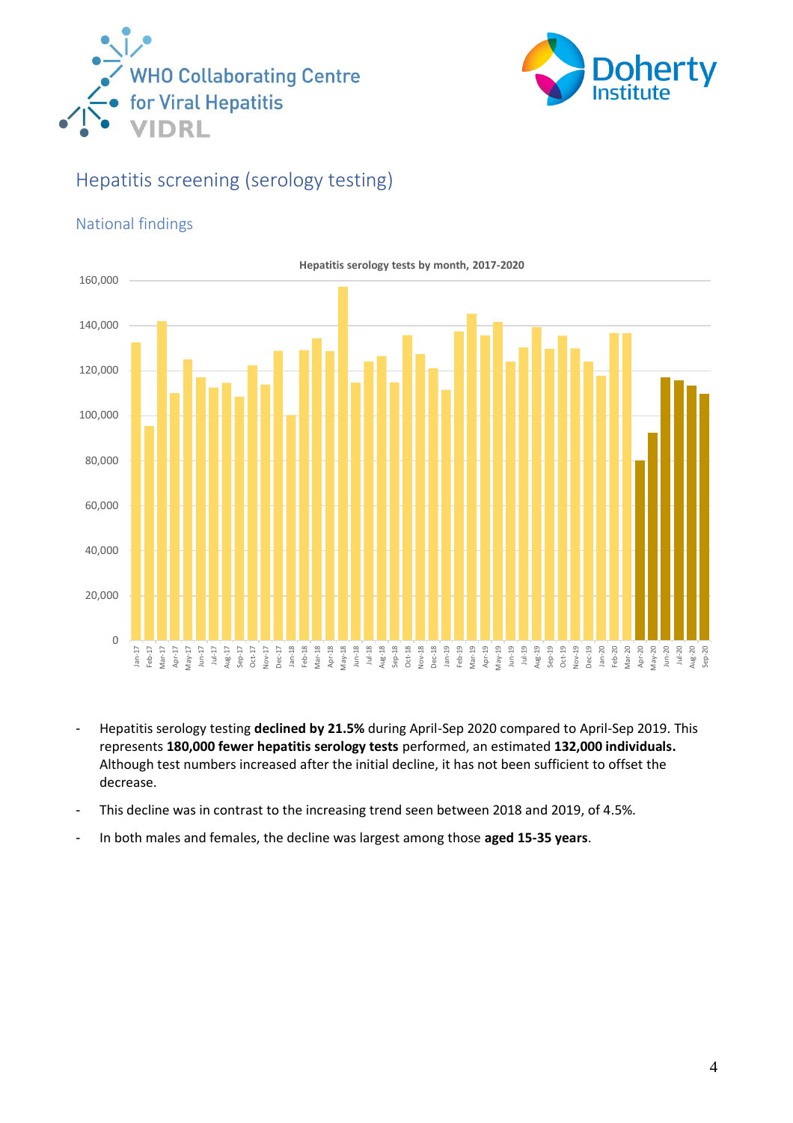



# <span id="page-3-0"></span>Hepatitis screening (serology testing)

### <span id="page-3-1"></span>National findings



- Hepatitis serology testing **declined by 21.5%** during April-Sep 2020 compared to April-Sep 2019. This represents **180,000 fewer hepatitis serology tests** performed, an estimated **132,000 individuals.**  Although test numbers increased after the initial decline, it has not been sufficient to offset the decrease.
- This decline was in contrast to the increasing trend seen between 2018 and 2019, of 4.5%.
- In both males and females, the decline was largest among those **aged 15-35 years**.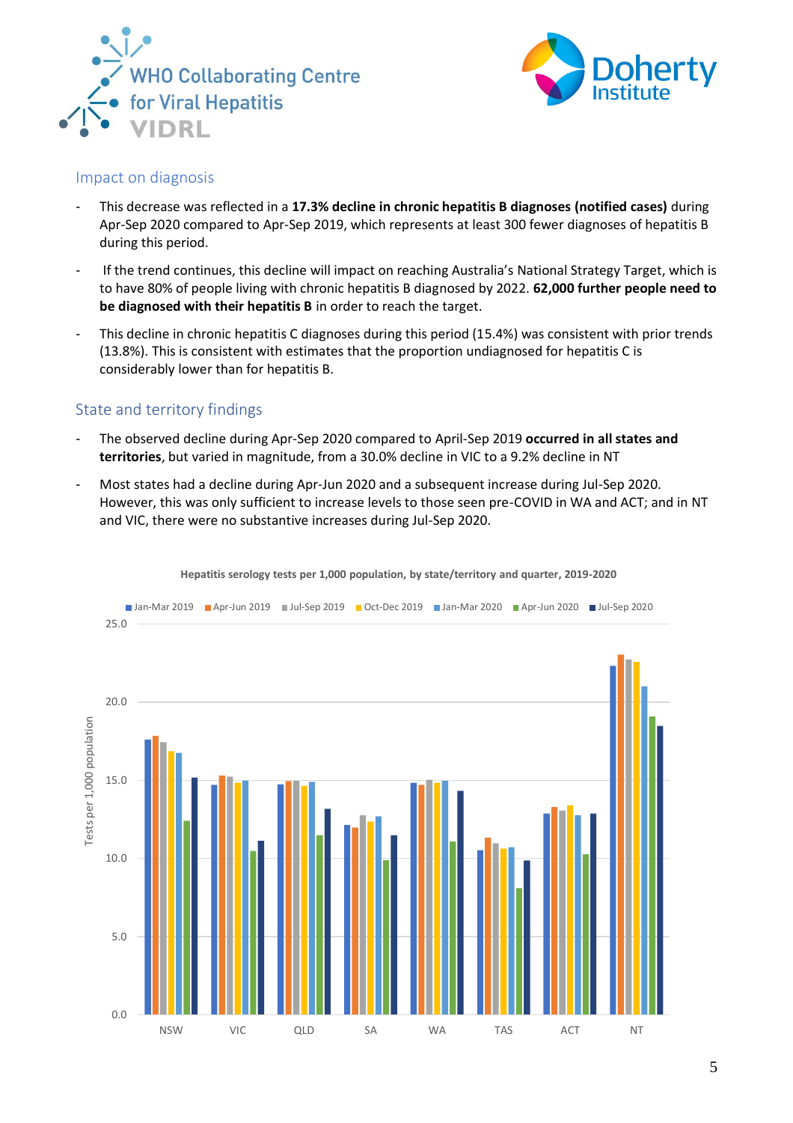



#### <span id="page-4-0"></span>Impact on diagnosis

- This decrease was reflected in a **17.3% decline in chronic hepatitis B diagnoses (notified cases)** during Apr-Sep 2020 compared to Apr-Sep 2019, which represents at least 300 fewer diagnoses of hepatitis B during this period.
- If the trend continues, this decline will impact on reaching Australia's National Strategy Target, which is to have 80% of people living with chronic hepatitis B diagnosed by 2022. **62,000 further people need to be diagnosed with their hepatitis B** in order to reach the target.
- This decline in chronic hepatitis C diagnoses during this period (15.4%) was consistent with prior trends (13.8%). This is consistent with estimates that the proportion undiagnosed for hepatitis C is considerably lower than for hepatitis B.

#### <span id="page-4-1"></span>State and territory findings

- The observed decline during Apr-Sep 2020 compared to April-Sep 2019 **occurred in all states and territories**, but varied in magnitude, from a 30.0% decline in VIC to a 9.2% decline in NT
- Most states had a decline during Apr-Jun 2020 and a subsequent increase during Jul-Sep 2020. However, this was only sufficient to increase levels to those seen pre-COVID in WA and ACT; and in NT and VIC, there were no substantive increases during Jul-Sep 2020.



**Hepatitis serology tests per 1,000 population, by state/territory and quarter, 2019-2020**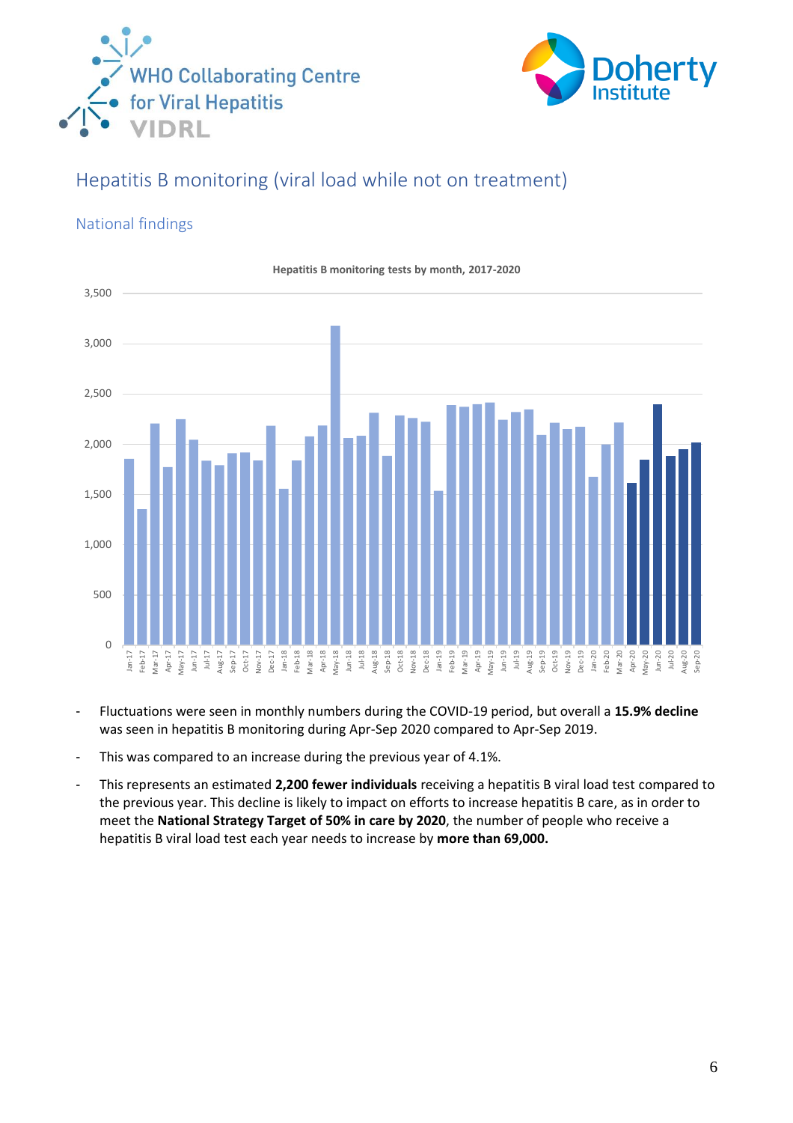



# <span id="page-5-0"></span>Hepatitis B monitoring (viral load while not on treatment)

### <span id="page-5-1"></span>National findings



- Fluctuations were seen in monthly numbers during the COVID-19 period, but overall a **15.9% decline** was seen in hepatitis B monitoring during Apr-Sep 2020 compared to Apr-Sep 2019.
- This was compared to an increase during the previous year of 4.1%.
- This represents an estimated **2,200 fewer individuals** receiving a hepatitis B viral load test compared to the previous year. This decline is likely to impact on efforts to increase hepatitis B care, as in order to meet the **National Strategy Target of 50% in care by 2020**, the number of people who receive a hepatitis B viral load test each year needs to increase by **more than 69,000.**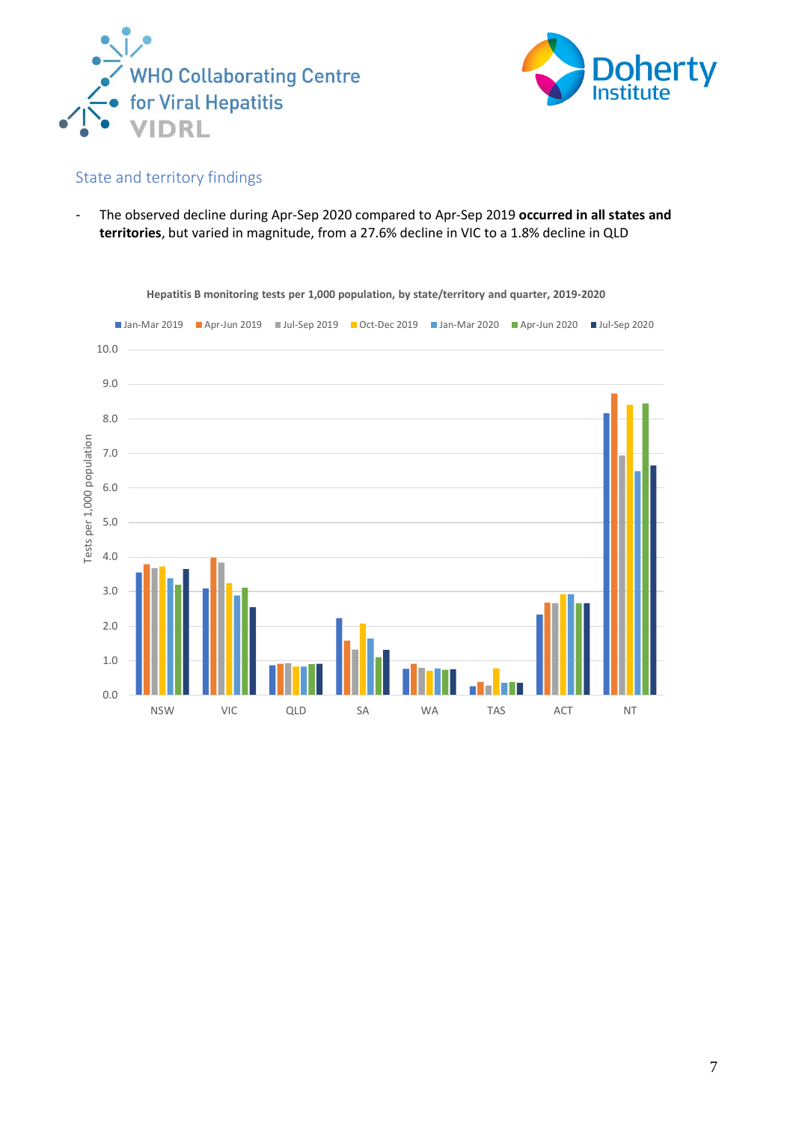



<span id="page-6-0"></span>- The observed decline during Apr-Sep 2020 compared to Apr-Sep 2019 **occurred in all states and territories**, but varied in magnitude, from a 27.6% decline in VIC to a 1.8% decline in QLD

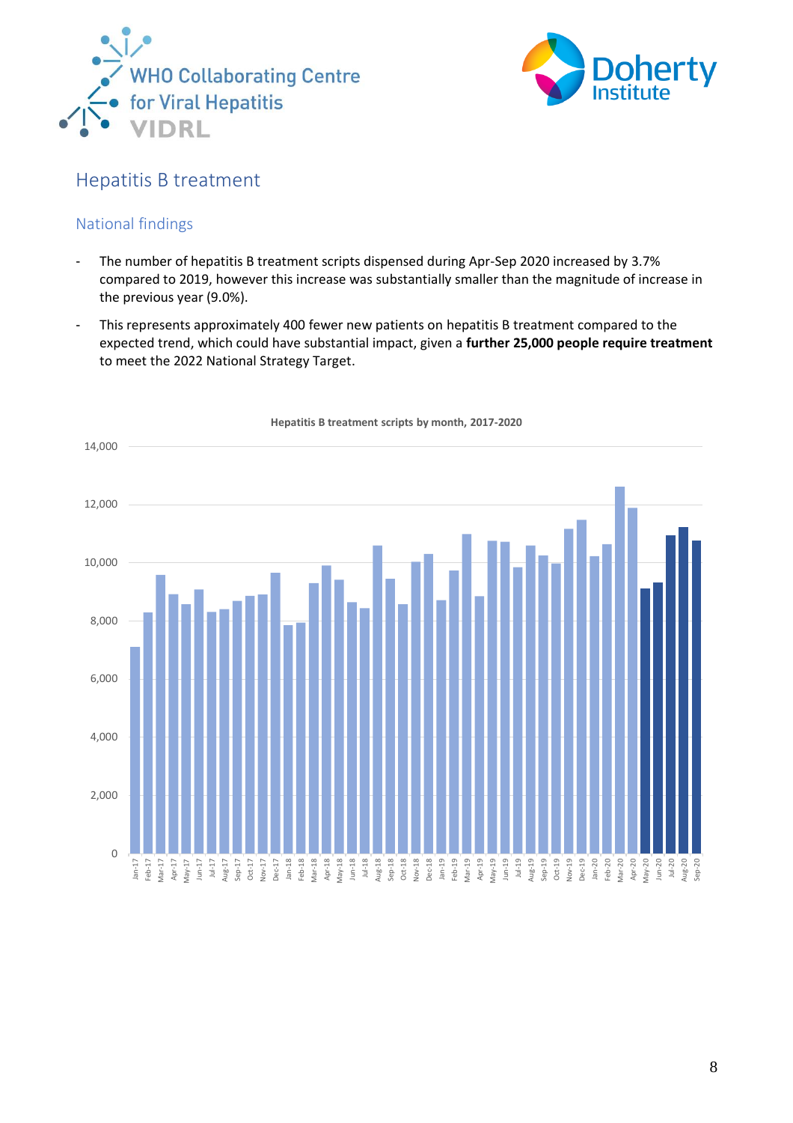



## <span id="page-7-0"></span>Hepatitis B treatment

### <span id="page-7-1"></span>National findings

- The number of hepatitis B treatment scripts dispensed during Apr-Sep 2020 increased by 3.7% compared to 2019, however this increase was substantially smaller than the magnitude of increase in the previous year (9.0%).
- This represents approximately 400 fewer new patients on hepatitis B treatment compared to the expected trend, which could have substantial impact, given a **further 25,000 people require treatment** to meet the 2022 National Strategy Target.



**Hepatitis B treatment scripts by month, 2017-2020**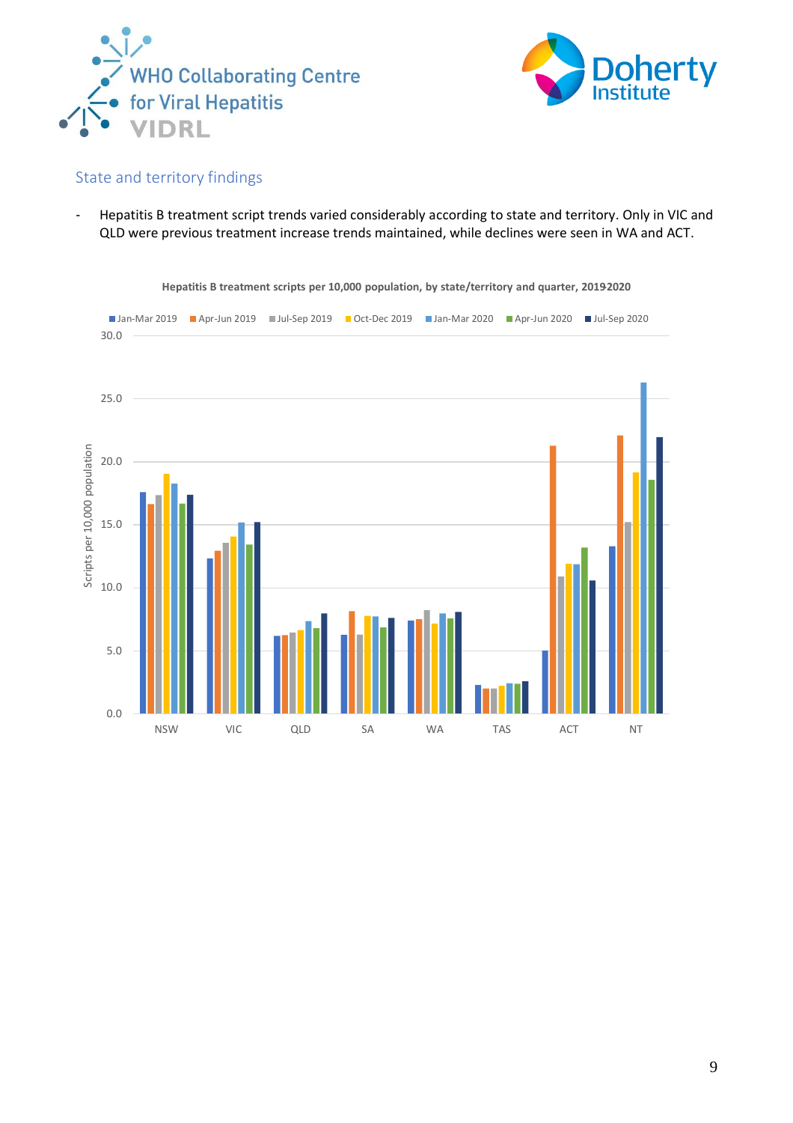



<span id="page-8-0"></span>- Hepatitis B treatment script trends varied considerably according to state and territory. Only in VIC and QLD were previous treatment increase trends maintained, while declines were seen in WA and ACT.



**Hepatitis B treatment scripts per 10,000 population, by state/territory and quarter, 2019-2020**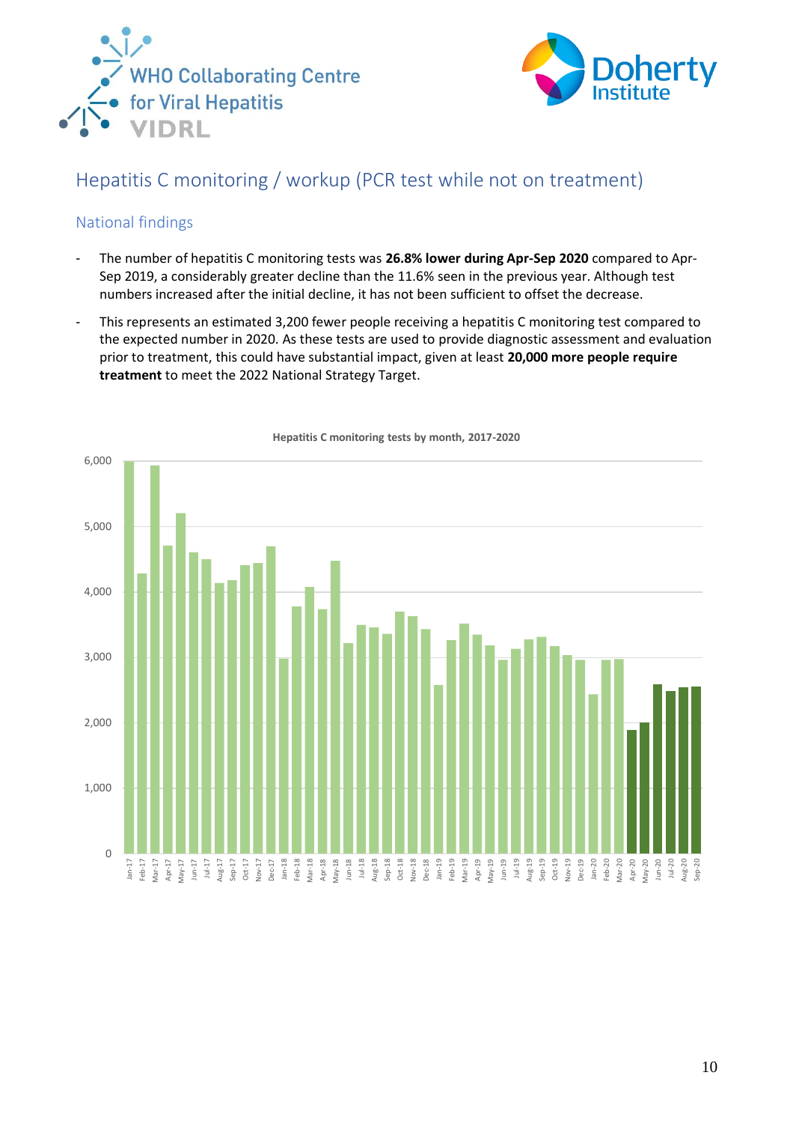



# <span id="page-9-0"></span>Hepatitis C monitoring / workup (PCR test while not on treatment)

### <span id="page-9-1"></span>National findings

- The number of hepatitis C monitoring tests was **26.8% lower during Apr-Sep 2020** compared to Apr-Sep 2019, a considerably greater decline than the 11.6% seen in the previous year. Although test numbers increased after the initial decline, it has not been sufficient to offset the decrease.
- This represents an estimated 3,200 fewer people receiving a hepatitis C monitoring test compared to the expected number in 2020. As these tests are used to provide diagnostic assessment and evaluation prior to treatment, this could have substantial impact, given at least **20,000 more people require treatment** to meet the 2022 National Strategy Target.



**Hepatitis C monitoring tests by month, 2017-2020**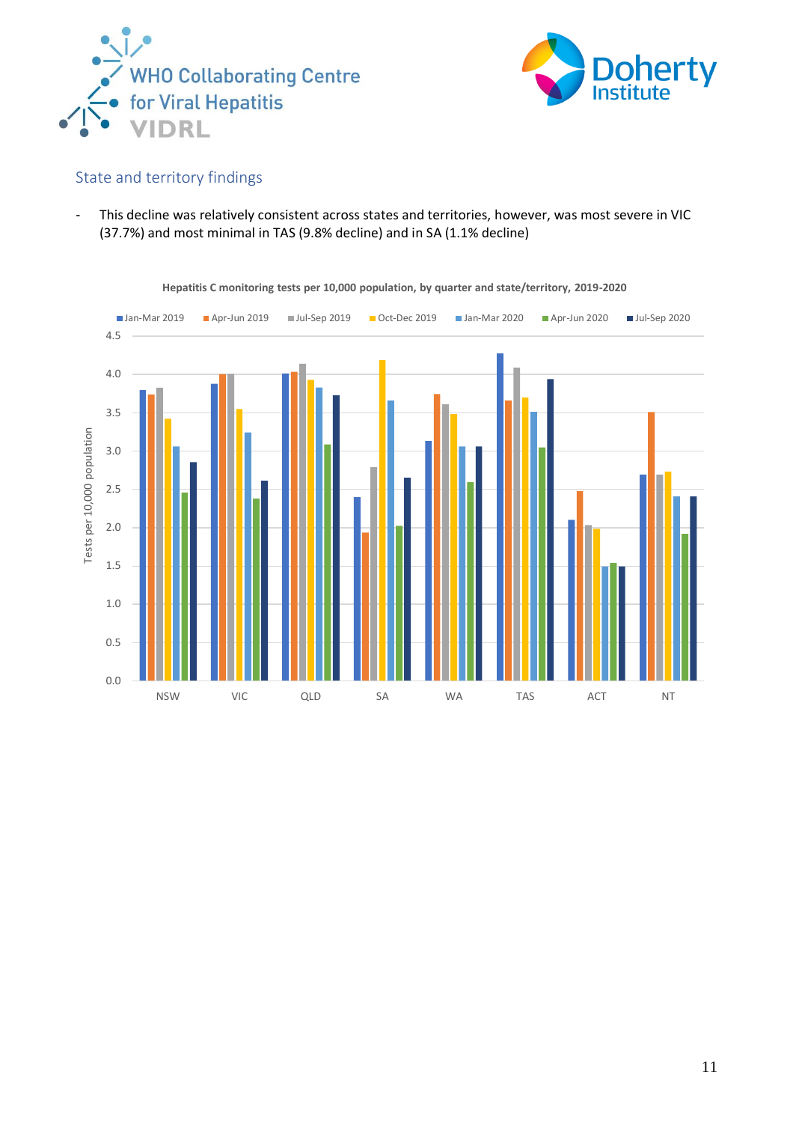



<span id="page-10-0"></span>- This decline was relatively consistent across states and territories, however, was most severe in VIC (37.7%) and most minimal in TAS (9.8% decline) and in SA (1.1% decline)



**Hepatitis C monitoring tests per 10,000 population, by quarter and state/territory, 2019-2020**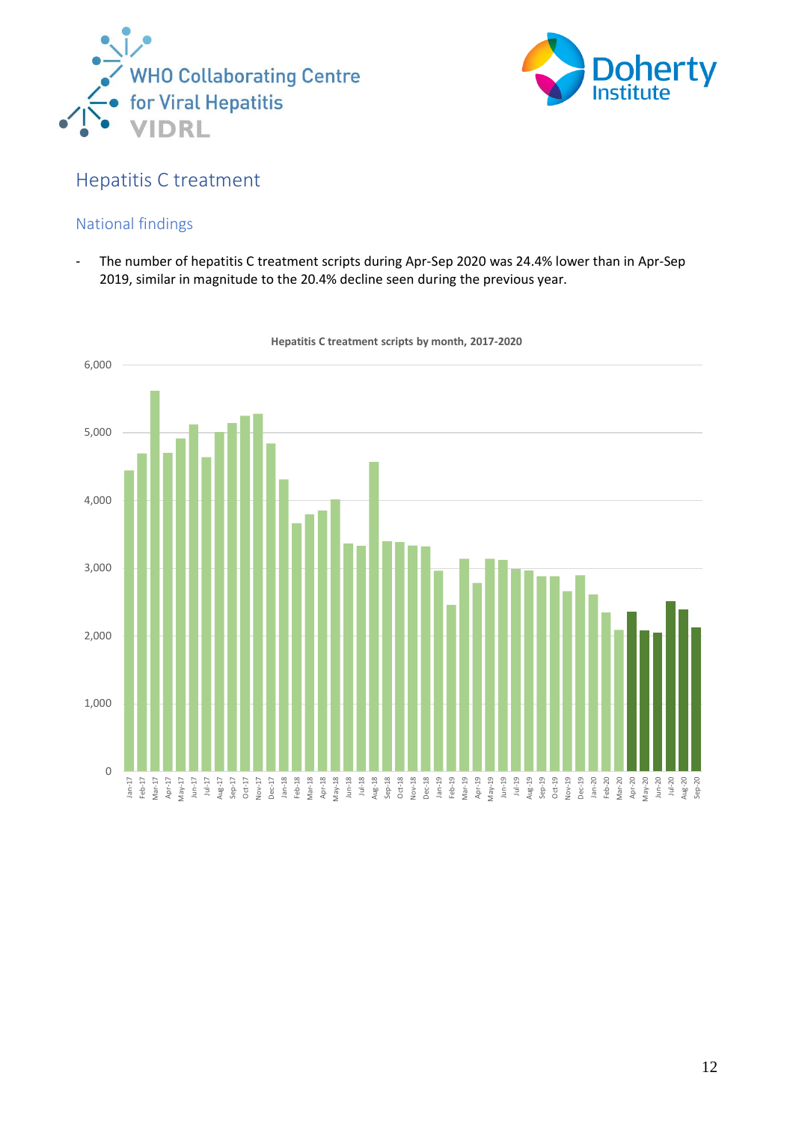



## <span id="page-11-0"></span>Hepatitis C treatment

### <span id="page-11-1"></span>National findings

- The number of hepatitis C treatment scripts during Apr-Sep 2020 was 24.4% lower than in Apr-Sep 2019, similar in magnitude to the 20.4% decline seen during the previous year.



**Hepatitis C treatment scripts by month, 2017-2020**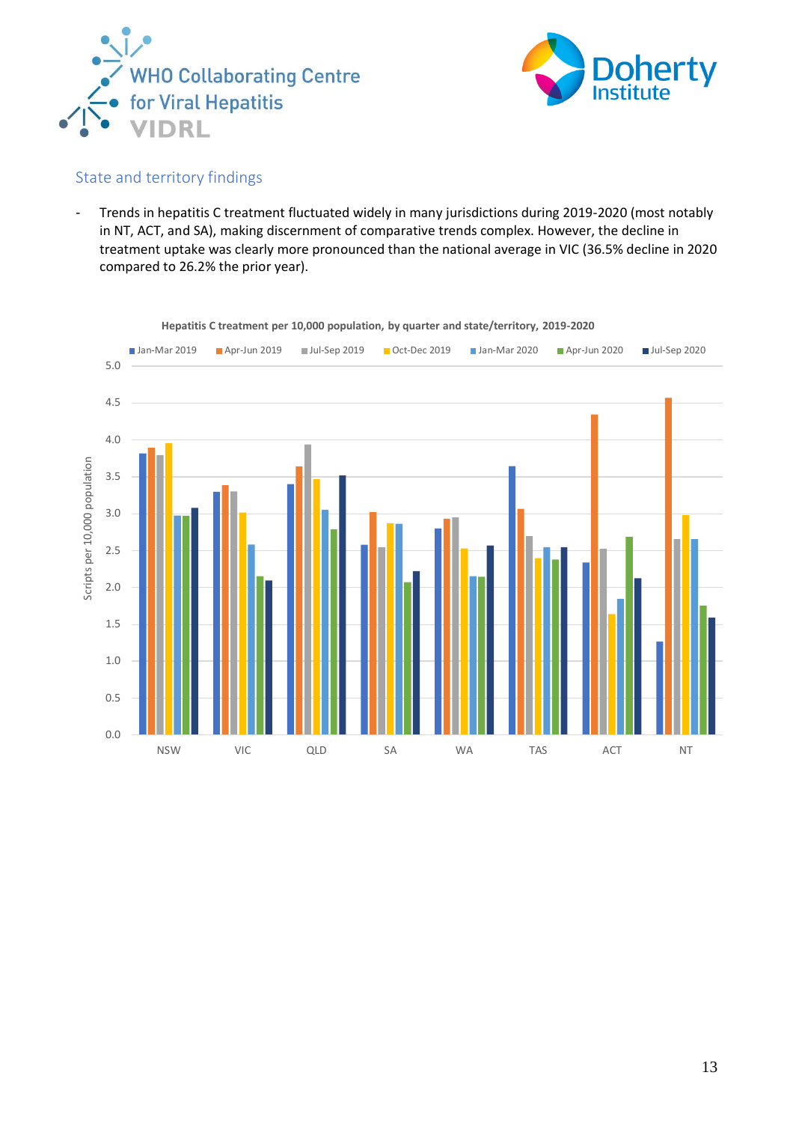



<span id="page-12-0"></span>- Trends in hepatitis C treatment fluctuated widely in many jurisdictions during 2019-2020 (most notably in NT, ACT, and SA), making discernment of comparative trends complex. However, the decline in treatment uptake was clearly more pronounced than the national average in VIC (36.5% decline in 2020 compared to 26.2% the prior year).



**Hepatitis C treatment per 10,000 population, by quarter and state/territory, 2019-2020**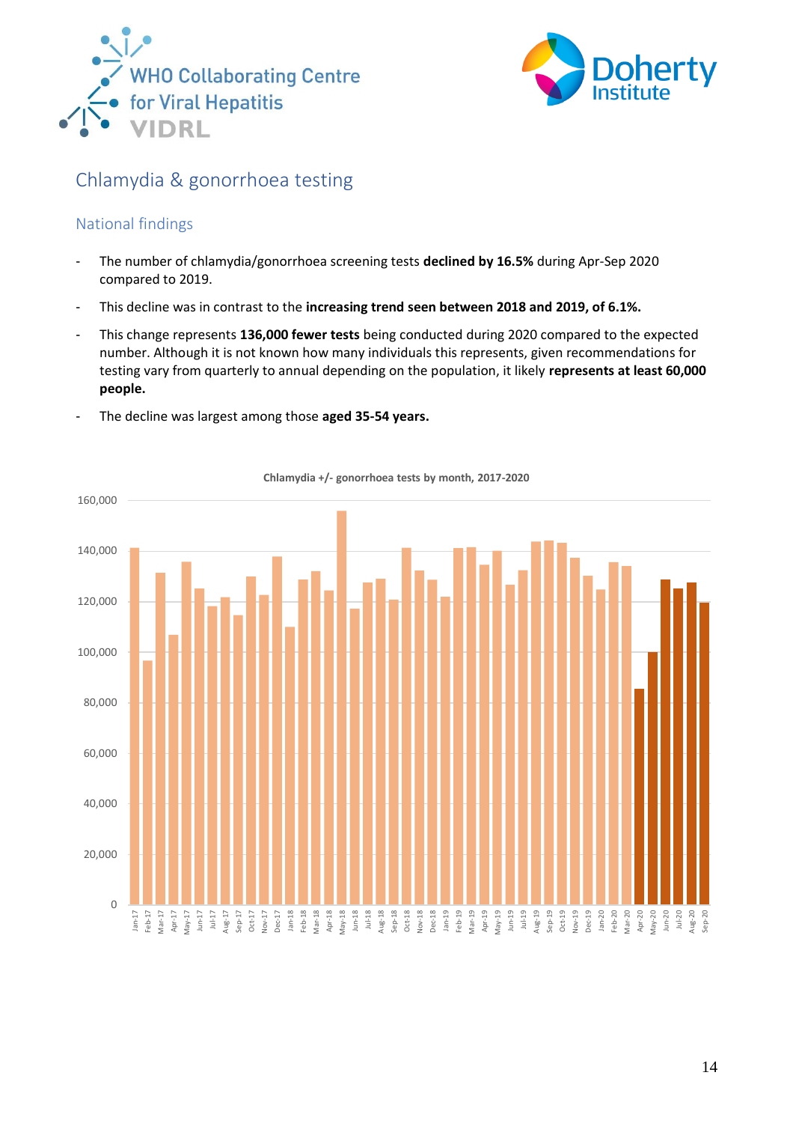



## <span id="page-13-0"></span>Chlamydia & gonorrhoea testing

### <span id="page-13-1"></span>National findings

- The number of chlamydia/gonorrhoea screening tests **declined by 16.5%** during Apr-Sep 2020 compared to 2019.
- This decline was in contrast to the **increasing trend seen between 2018 and 2019, of 6.1%.**
- This change represents **136,000 fewer tests** being conducted during 2020 compared to the expected number. Although it is not known how many individuals this represents, given recommendations for testing vary from quarterly to annual depending on the population, it likely **represents at least 60,000 people.**
- The decline was largest among those **aged 35-54 years.**



**Chlamydia +/- gonorrhoea tests by month, 2017-2020**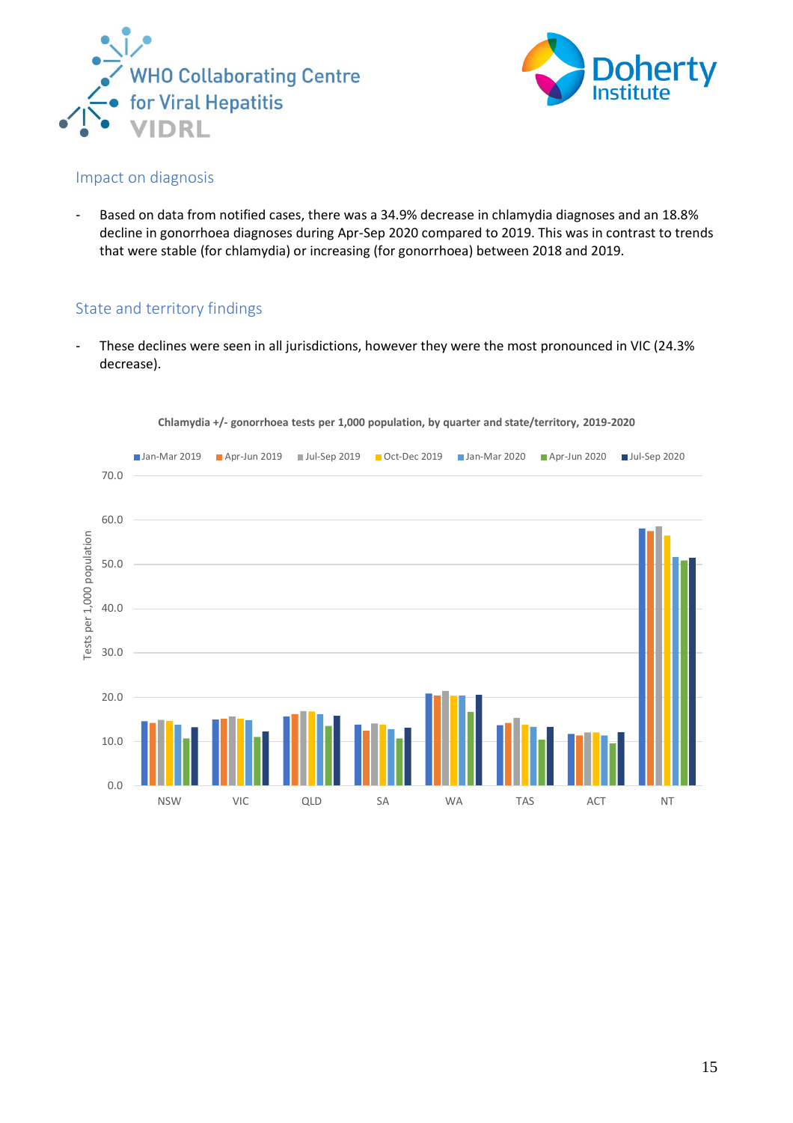



#### <span id="page-14-0"></span>Impact on diagnosis

- Based on data from notified cases, there was a 34.9% decrease in chlamydia diagnoses and an 18.8% decline in gonorrhoea diagnoses during Apr-Sep 2020 compared to 2019. This was in contrast to trends that were stable (for chlamydia) or increasing (for gonorrhoea) between 2018 and 2019.

### <span id="page-14-1"></span>State and territory findings

- These declines were seen in all jurisdictions, however they were the most pronounced in VIC (24.3% decrease).



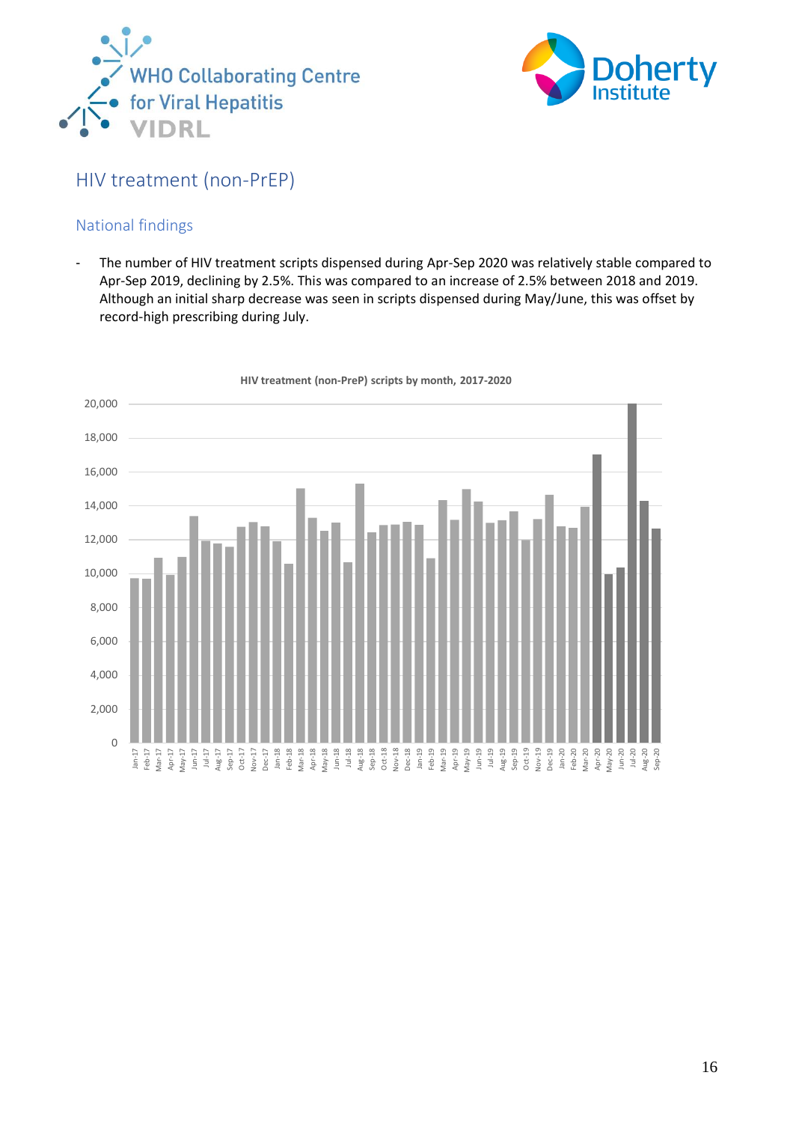



## <span id="page-15-0"></span>HIV treatment (non-PrEP)

### <span id="page-15-1"></span>National findings

- The number of HIV treatment scripts dispensed during Apr-Sep 2020 was relatively stable compared to Apr-Sep 2019, declining by 2.5%. This was compared to an increase of 2.5% between 2018 and 2019. Although an initial sharp decrease was seen in scripts dispensed during May/June, this was offset by record-high prescribing during July.



**HIV treatment (non-PreP) scripts by month, 2017-2020**